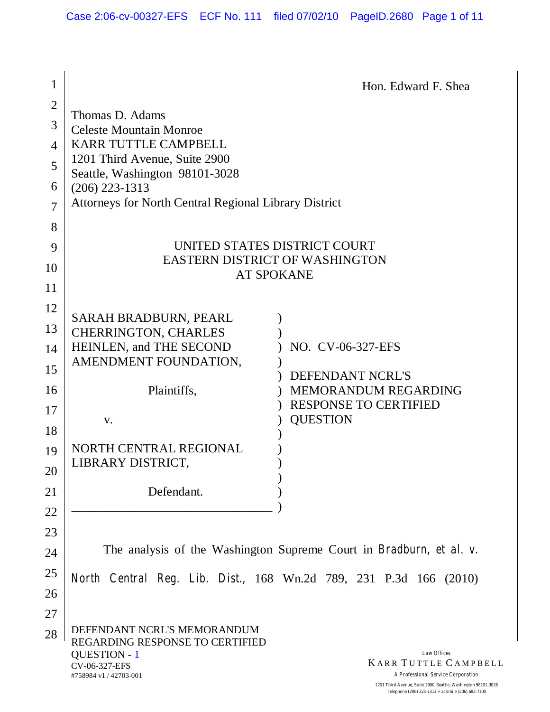| $\mathbf 1$    |                                                                       | Hon. Edward F. Shea                                                              |  |
|----------------|-----------------------------------------------------------------------|----------------------------------------------------------------------------------|--|
| $\overline{2}$ |                                                                       |                                                                                  |  |
| 3              | Thomas D. Adams<br><b>Celeste Mountain Monroe</b>                     |                                                                                  |  |
| 4              | <b>KARR TUTTLE CAMPBELL</b>                                           |                                                                                  |  |
| 5              | 1201 Third Avenue, Suite 2900                                         |                                                                                  |  |
| 6              | Seattle, Washington 98101-3028<br>$(206)$ 223-1313                    |                                                                                  |  |
| $\overline{7}$ | <b>Attorneys for North Central Regional Library District</b>          |                                                                                  |  |
|                |                                                                       |                                                                                  |  |
| 8              |                                                                       |                                                                                  |  |
| 9              | UNITED STATES DISTRICT COURT<br><b>EASTERN DISTRICT OF WASHINGTON</b> |                                                                                  |  |
| 10             |                                                                       | <b>AT SPOKANE</b>                                                                |  |
| 11             |                                                                       |                                                                                  |  |
| 12             | <b>SARAH BRADBURN, PEARL</b>                                          |                                                                                  |  |
| 13             | <b>CHERRINGTON, CHARLES</b>                                           |                                                                                  |  |
| 14             | HEINLEN, and THE SECOND                                               | NO. CV-06-327-EFS                                                                |  |
| 15             | AMENDMENT FOUNDATION,                                                 | DEFENDANT NCRL'S                                                                 |  |
| 16             | Plaintiffs,                                                           | MEMORANDUM REGARDING                                                             |  |
| 17             |                                                                       | <b>RESPONSE TO CERTIFIED</b>                                                     |  |
| 18             | V.                                                                    | <b>QUESTION</b>                                                                  |  |
| 19             | NORTH CENTRAL REGIONAL                                                |                                                                                  |  |
| 20             | LIBRARY DISTRICT,                                                     |                                                                                  |  |
| 21             | Defendant.                                                            |                                                                                  |  |
| 22             |                                                                       |                                                                                  |  |
|                |                                                                       |                                                                                  |  |
| 23             |                                                                       | The analysis of the Washington Supreme Court in <i>Bradburn</i> , et al. v.      |  |
| 24             |                                                                       |                                                                                  |  |
| 25             |                                                                       | North Central Reg. Lib. Dist., 168 Wn.2d 789, 231 P.3d 166 (2010)                |  |
| 26             |                                                                       |                                                                                  |  |
| 27             |                                                                       |                                                                                  |  |
| 28             | DEFENDANT NCRL'S MEMORANDUM<br>REGARDING RESPONSE TO CERTIFIED        |                                                                                  |  |
|                | <b>QUESTION - 1</b><br>CV-06-327-EFS<br>#758984 v1 / 42703-001        | Law Offices<br><b>KARR TUTTLE CAMPBELL</b><br>A Professional Service Corporation |  |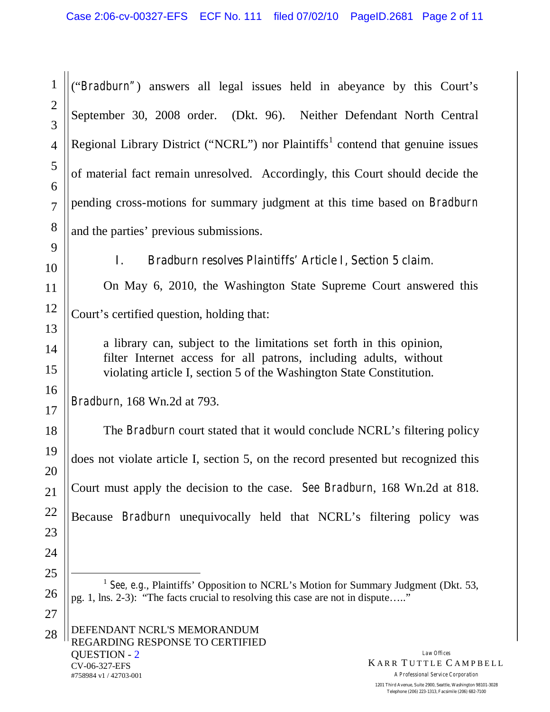("*Bradburn"*) answers all legal issues held in abeyance by this Court's September 30, 2008 order. (Dkt. 96). Neither Defendant North Central Regional Library District ("NCRL") nor Plaintiffs<sup>1</sup> contend that genuine issues of material fact remain unresolved. Accordingly, this Court should decide the pending cross-motions for summary judgment at this time based on *Bradburn* and the parties' previous submissions.

10

1

2

3

4

5

6

7

8

9

11

12

13

14

15

16

17

18

19

20

21

22

23

24

25

26

27

# **I.** *Bradburn resolves Plaintiffs'Article I, Section 5 claim.*

On May 6, 2010, the Washington State Supreme Court answered this Court's certified question, holding that:

a library can, subject to the limitations set forth in this opinion, filter Internet access for all patrons, including adults, without violating article I, section 5 of the Washington State Constitution.

*Bradburn*, 168 Wn.2d at 793.

The *Bradburn* court stated that it would conclude NCRL's filtering policy does not violate article I, section 5, on the record presented but recognized this Court must apply the decision to the case. *See Bradburn*, 168 Wn.2d at 818. Because *Bradburn* unequivocally held that NCRL's filtering policy was

<sup>1</sup> *See, e.g.*, Plaintiffs' Opposition to NCRL's Motion for Summary Judgment (Dkt. 53, pg. 1, lns. 2-3): "The facts crucial to resolving this case are not in dispute… .."

*Law Offices* **KARR TUTTLE CAMPBELL** *A Professional Service Corporation*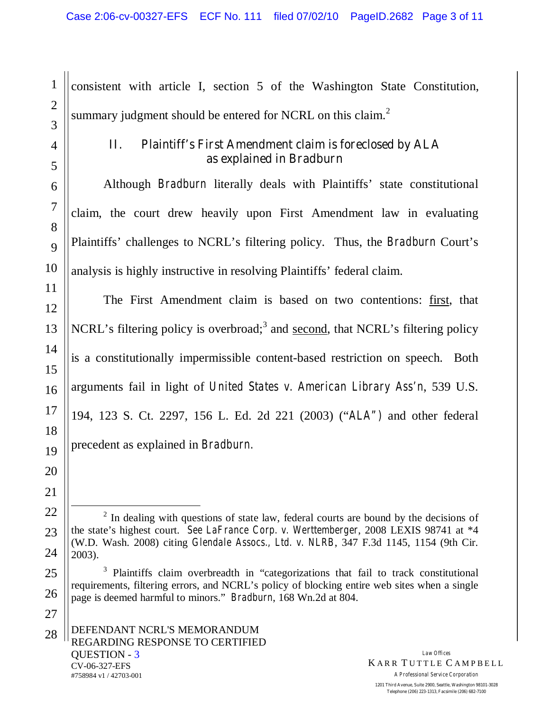consistent with article I, section 5 of the Washington State Constitution, summary judgment should be entered for NCRL on this claim. $2$ 

### **II. Plaintiff's First Amendment claim is foreclosed by ALA as explained in Bradburn**

Although *Bradburn* literally deals with Plaintiffs' state constitutional claim, the court drew heavily upon First Amendment law in evaluating Plaintiffs'challenges to NCRL's filtering policy. Thus, the *Bradburn* Court's analysis is highly instructive in resolving Plaintiffs' federal claim.

The First Amendment claim is based on two contentions: first, that NCRL's filtering policy is overbroad;<sup>3</sup> and second, that NCRL's filtering policy is a constitutionally impermissible content-based restriction on speech. Both arguments fail in light of *United States v. American Library Ass'n*, 539 U.S. 194, 123 S. Ct. 2297, 156 L. Ed. 2d 221 (2003) ("*ALA")* and other federal precedent as explained in *Bradburn.*

1

2

3

4

5

6

**Telephone (206) 223-1313, Facsimile (206) 682-7100**

<sup>&</sup>lt;sup>2</sup> In dealing with questions of state law, federal courts are bound by the decisions of the state's highest court. *See LaFrance Corp. v. Werttemberger*, 2008 LEXIS 98741 at \*4 (W.D. Wash. 2008) citing *Glendale Assocs., Ltd. v. NLRB*, 347 F.3d 1145, 1154 (9th Cir. 2003).

<sup>&</sup>lt;sup>3</sup> Plaintiffs claim overbreadth in "categorizations that fail to track constitutional requirements, filtering errors, and NCRL's policy of blocking entire web sites when a single page is deemed harmful to minors." *Bradburn*, 168 Wn.2d at 804.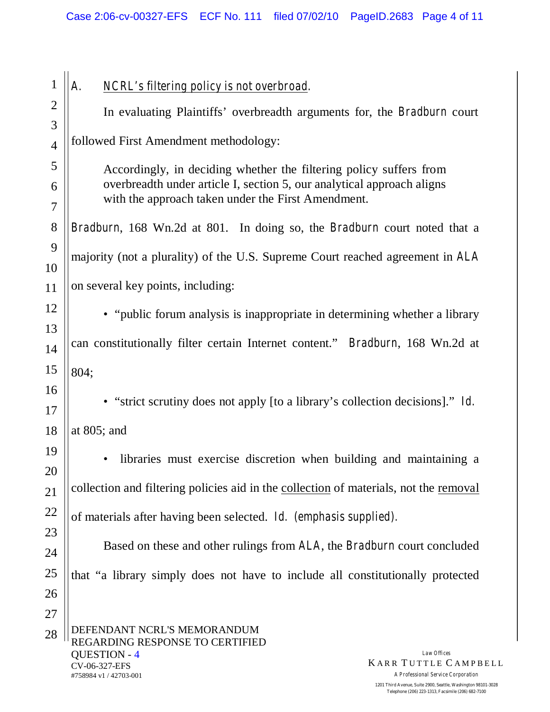| 1              | NCRL's filtering policy is not overbroad.<br>А.                                       |  |  |  |
|----------------|---------------------------------------------------------------------------------------|--|--|--|
| $\overline{2}$ | In evaluating Plaintiffs' overbreadth arguments for, the Bradburn court               |  |  |  |
| 3              |                                                                                       |  |  |  |
| $\overline{4}$ | followed First Amendment methodology:                                                 |  |  |  |
| 5              | Accordingly, in deciding whether the filtering policy suffers from                    |  |  |  |
| 6              | overbreadth under article I, section 5, our analytical approach aligns                |  |  |  |
| 7              | with the approach taken under the First Amendment.                                    |  |  |  |
| 8              | Bradburn, 168 Wn.2d at 801. In doing so, the Bradburn court noted that a              |  |  |  |
| 9              | majority (not a plurality) of the U.S. Supreme Court reached agreement in ALA         |  |  |  |
| 10             |                                                                                       |  |  |  |
| 11             | on several key points, including:                                                     |  |  |  |
| 12             | • "public forum analysis is inappropriate in determining whether a library            |  |  |  |
| 13             | can constitutionally filter certain Internet content." <i>Bradburn</i> , 168 Wn.2d at |  |  |  |
| 14             |                                                                                       |  |  |  |
| 15             | 804;                                                                                  |  |  |  |
| 16             | "strict scrutiny does not apply [to a library's collection decisions]." Id.           |  |  |  |
| 17             |                                                                                       |  |  |  |
| 18             | at $805$ ; and                                                                        |  |  |  |
| 19             | libraries must exercise discretion when building and maintaining a                    |  |  |  |
| 20             | collection and filtering policies aid in the collection of materials, not the removal |  |  |  |
| 21             |                                                                                       |  |  |  |
| 22             | of materials after having been selected. Id. (emphasis supplied).                     |  |  |  |
| 23<br>24       | Based on these and other rulings from ALA, the Bradburn court concluded               |  |  |  |
| 25             |                                                                                       |  |  |  |
| 26             | that "a library simply does not have to include all constitutionally protected        |  |  |  |
| 27             |                                                                                       |  |  |  |
| 28             | DEFENDANT NCRL'S MEMORANDUM                                                           |  |  |  |
|                | REGARDING RESPONSE TO CERTIFIED<br><b>QUESTION - 4</b><br>Law Offices                 |  |  |  |
|                | <b>KARR TUTTLE CAMPBELL</b><br>CV-06-327-EFS                                          |  |  |  |

#758984 v1 / 42703-001

*A Professional Service Corporation* **1201 Third Avenue, Suite 2900, Seattle, Washington 98101-3028 Telephone (206) 223-1313, Facsimile (206) 682-7100**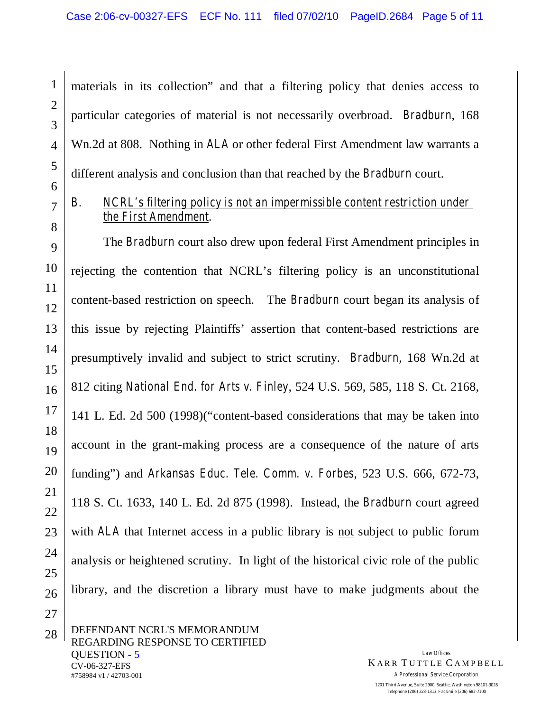materials in its collection" and that a filtering policy that denies access to particular categories of material is not necessarily overbroad. *Bradburn*, 168 Wn.2d at 808. Nothing in *ALA* or other federal First Amendment law warrants a different analysis and conclusion than that reached by the *Bradburn* court.

# *B. NCRL's filtering policy is not an impermissible content restriction under the First Amendment.*

The *Bradburn* court also drew upon federal First Amendment principles in rejecting the contention that NCRL's filtering policy is an unconstitutional content-based restriction on speech. The *Bradburn* court began its analysis of this issue by rejecting Plaintiffs'assertion that content-based restrictions are presumptively invalid and subject to strict scrutiny. *Bradburn*, 168 Wn.2d at 812 citing *National End. for Arts v. Finley*, 524 U.S. 569, 585, 118 S. Ct. 2168, 141 L. Ed. 2d 500 (1998)("content-based considerations that may be taken into account in the grant-making process are a consequence of the nature of arts funding") and *Arkansas Educ. Tele. Comm. v. Forbes*, 523 U.S. 666, 672-73, 118 S. Ct. 1633, 140 L. Ed. 2d 875 (1998). Instead, the *Bradburn* court agreed with *ALA* that Internet access in a public library is not subject to public forum analysis or heightened scrutiny. In light of the historical civic role of the public library, and the discretion a library must have to make judgments about the

*Law Offices* **KARR TUTTLE CAMPBELL** *A Professional Service Corporation* **1201 Third Avenue, Suite 2900, Seattle, Washington 98101-3028 Telephone (206) 223-1313, Facsimile (206) 682-7100**

1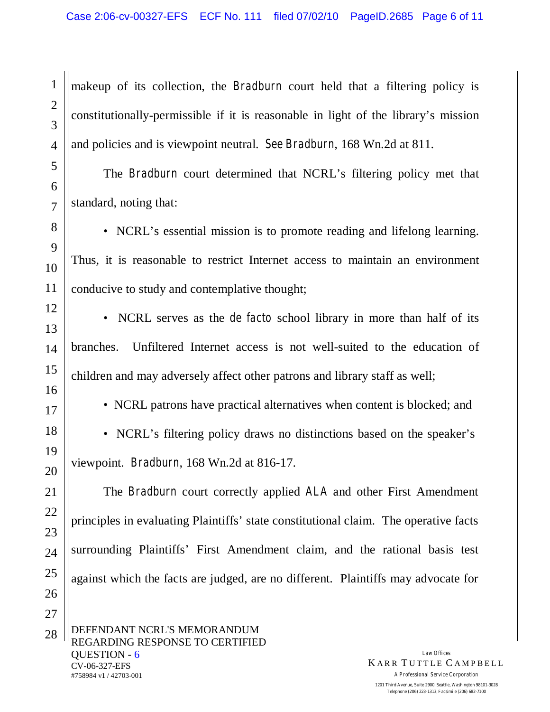makeup of its collection, the *Bradburn* court held that a filtering policy is constitutionally-permissible if it is reasonable in light of the library's mission and policies and is viewpoint neutral. *See Bradburn*, 168 Wn.2d at 811.

The *Bradburn* court determined that NCRL's filtering policy met that standard, noting that:

• NCRL's essential mission is to promote reading and lifelong learning. Thus, it is reasonable to restrict Internet access to maintain an environment conducive to study and contemplative thought;

• NCRL serves as the *de facto* school library in more than half of its branches. Unfiltered Internet access is not well-suited to the education of children and may adversely affect other patrons and library staff as well;

• NCRL patrons have practical alternatives when content is blocked; and

• NCRL's filtering policy draws no distinctions based on the speaker's viewpoint. *Bradburn*, 168 Wn.2d at 816-17.

The *Bradburn* court correctly applied *ALA* and other First Amendment principles in evaluating Plaintiffs'state constitutional claim. The operative facts surrounding Plaintiffs' First Amendment claim, and the rational basis test against which the facts are judged, are no different. Plaintiffs may advocate for

DEFENDANT NCRL'S MEMORANDUM REGARDING RESPONSE TO CERTIFIED QUESTION - 6 CV-06-327-EFS #758984 v1 / 42703-001

*Law Offices* **KARR TUTTLE CAMPBELL** *A Professional Service Corporation* **1201 Third Avenue, Suite 2900, Seattle, Washington 98101-3028 Telephone (206) 223-1313, Facsimile (206) 682-7100**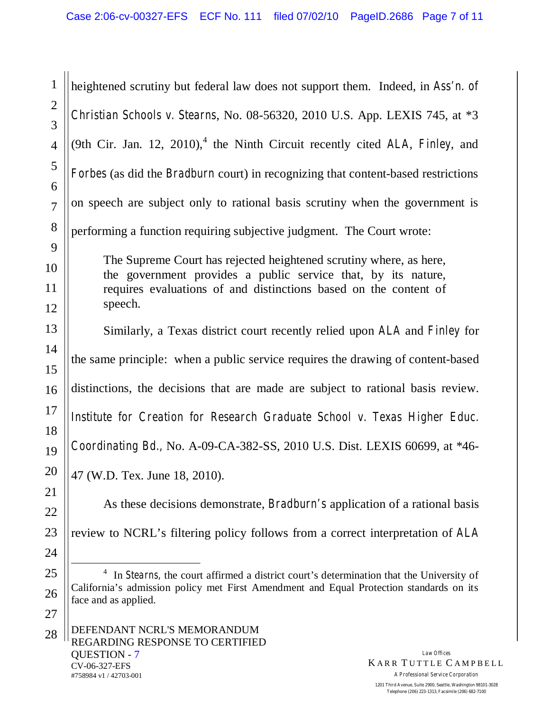1 2 3 4 5 6 7 8 9 10 11 12 13 14 15 16 17 18 19 20 21 22 heightened scrutiny but federal law does not support them. Indeed, in *Ass'n. of Christian Schools v. Stearns*, No. 08-56320, 2010 U.S. App. LEXIS 745, at \*3 (9th Cir. Jan. 12, 2010), <sup>4</sup> the Ninth Circuit recently cited *ALA*, *Finley*, and *Forbes* (as did the *Bradburn* court) in recognizing that content-based restrictions on speech are subject only to rational basis scrutiny when the government is performing a function requiring subjective judgment. The Court wrote: The Supreme Court has rejected heightened scrutiny where, as here, the government provides a public service that, by its nature, requires evaluations of and distinctions based on the content of speech. Similarly, a Texas district court recently relied upon *ALA* and *Finley* for the same principle: when a public service requires the drawing of content-based distinctions, the decisions that are made are subject to rational basis review. *Institute for Creation for Research Graduate School v. Texas Higher Educ. Coordinating Bd.,* No. A-09-CA-382-SS, 2010 U.S. Dist. LEXIS 60699, at \*46- 47 (W.D. Tex. June 18, 2010). As these decisions demonstrate, *Bradburn's* application of a rational basis

review to NCRL's filtering policy follows from a correct interpretation of *ALA*

23

24

25

26

27

 $\overline{a}$ <sup>4</sup> In *Stearns*, the court affirmed a district court's determination that the University of California's admission policy met First Amendment and Equal Protection standards on its face and as applied.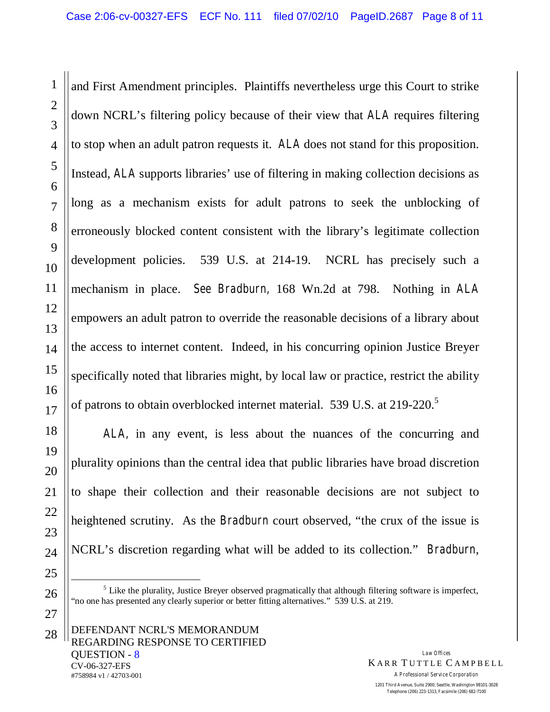and First Amendment principles. Plaintiffs nevertheless urge this Court to strike down NCRL's filtering policy because of their view that *ALA* requires filtering to stop when an adult patron requests it. *ALA* does not stand for this proposition. Instead, *ALA* supports libraries' use of filtering in making collection decisions as long as a mechanism exists for adult patrons to seek the unblocking of erroneously blocked content consistent with the library's legitimate collection development policies. 539 U.S. at 214-19. NCRL has precisely such a mechanism in place. *See Bradburn,* 168 Wn.2d at 798. Nothing in *ALA* empowers an adult patron to override the reasonable decisions of a library about the access to internet content. Indeed, in his concurring opinion Justice Breyer specifically noted that libraries might, by local law or practice, restrict the ability of patrons to obtain overblocked internet material. 539 U.S. at 219-220.<sup>5</sup>

*ALA,* in any event, is less about the nuances of the concurring and plurality opinions than the central idea that public libraries have broad discretion to shape their collection and their reasonable decisions are not subject to heightened scrutiny. As the *Bradburn* court observed, "the crux of the issue is NCRL's discretion regarding what will be added to its collection." *Bradburn*,

<sup>5</sup> Like the plurality, Justice Breyer observed pragmatically that although filtering software is imperfect, "no one has presented any clearly superior or better fitting alternatives." 539 U.S. at 219.

1

2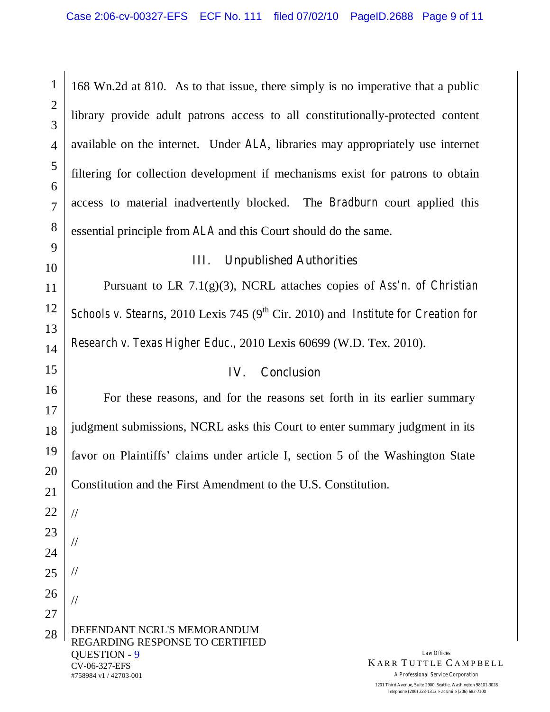168 Wn.2d at 810. As to that issue, there simply is no imperative that a public library provide adult patrons access to all constitutionally-protected content available on the internet. Under *ALA*, libraries may appropriately use internet filtering for collection development if mechanisms exist for patrons to obtain access to material inadvertently blocked. The *Bradburn* court applied this essential principle from *ALA* and this Court should do the same.

#### **III. Unpublished Authorities**

Pursuant to LR 7.1(g)(3), NCRL attaches copies of *Ass'n. of Christian Schools v. Stearns,* 2010 Lexis 745 (9<sup>th</sup> Cir. 2010) and *Institute for Creation for Research v. Texas Higher Educ.,* 2010 Lexis 60699 (W.D. Tex. 2010).

#### **IV. Conclusion**

For these reasons, and for the reasons set forth in its earlier summary judgment submissions, NCRL asks this Court to enter summary judgment in its favor on Plaintiffs'claims under article I, section 5 of the Washington State Constitution and the First Amendment to the U.S. Constitution.

DEFENDANT NCRL'S MEMORANDUM REGARDING RESPONSE TO CERTIFIED QUESTION - 9 CV-06-327-EFS #758984 v1 / 42703-001 22 23 24 25 26 27 28 // // // //

1

2

3

4

5

6

7

8

9

10

11

12

13

14

15

16

17

18

19

20

21

*Law Offices* **KARR TUTTLE CAMPBELL** *A Professional Service Corporation*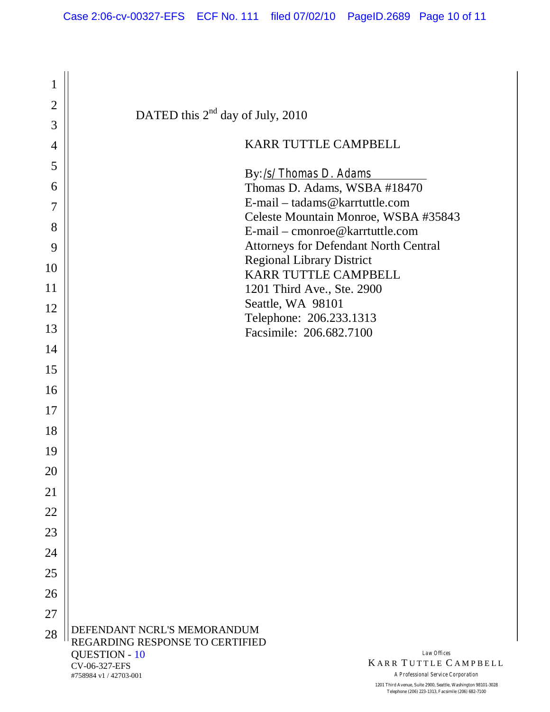| 1              |                                                         |                                                                                  |
|----------------|---------------------------------------------------------|----------------------------------------------------------------------------------|
| $\overline{2}$ | DATED this $2^{nd}$ day of July, 2010                   |                                                                                  |
| 3              |                                                         |                                                                                  |
| 4              |                                                         | KARR TUTTLE CAMPBELL                                                             |
| 5              |                                                         |                                                                                  |
| 6              |                                                         | By:/s/Thomas D. Adams<br>Thomas D. Adams, WSBA #18470                            |
| 7              |                                                         | E-mail – tadams@karrtuttle.com                                                   |
|                |                                                         | Celeste Mountain Monroe, WSBA #35843                                             |
| 8              |                                                         | E-mail – cmonroe@karrtuttle.com                                                  |
| 9              |                                                         | <b>Attorneys for Defendant North Central</b><br><b>Regional Library District</b> |
| 10             |                                                         | KARR TUTTLE CAMPBELL                                                             |
| 11             |                                                         | 1201 Third Ave., Ste. 2900                                                       |
| 12             |                                                         | Seattle, WA 98101<br>Telephone: 206.233.1313                                     |
| 13             |                                                         | Facsimile: 206.682.7100                                                          |
| 14             |                                                         |                                                                                  |
| 15             |                                                         |                                                                                  |
| 16             |                                                         |                                                                                  |
| 17             |                                                         |                                                                                  |
| 18             |                                                         |                                                                                  |
| 19             |                                                         |                                                                                  |
|                |                                                         |                                                                                  |
| 20             |                                                         |                                                                                  |
| 21             |                                                         |                                                                                  |
| 22             |                                                         |                                                                                  |
| 23             |                                                         |                                                                                  |
| 24             |                                                         |                                                                                  |
| 25             |                                                         |                                                                                  |
| 26             |                                                         |                                                                                  |
| 27             |                                                         |                                                                                  |
| 28             | DEFENDANT NCRL'S MEMORANDUM                             |                                                                                  |
|                | REGARDING RESPONSE TO CERTIFIED<br><b>QUESTION - 10</b> | Law Offices                                                                      |
|                | CV-06-327-EFS                                           | <b>KARR TUTTLE CAMPBE</b>                                                        |

#758984 v1 / 42703-001

 $ELL$ *A Professional Service Corporation*